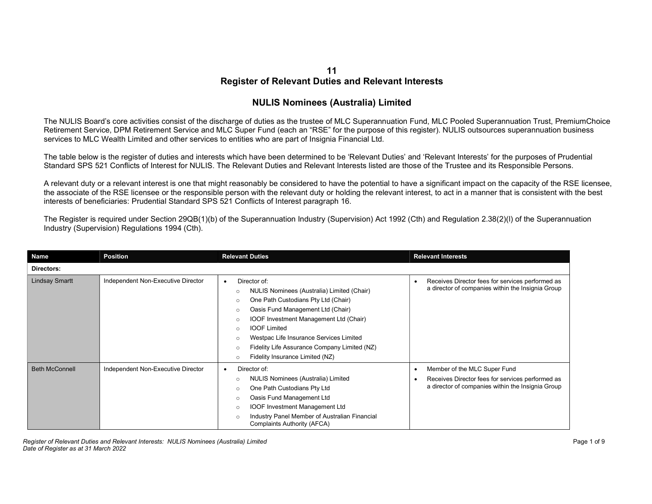## 11 Register of Relevant Duties and Relevant Interests

## NULIS Nominees (Australia) Limited

The NULIS Board's core activities consist of the discharge of duties as the trustee of MLC Superannuation Fund, MLC Pooled Superannuation Trust, PremiumChoice Retirement Service, DPM Retirement Service and MLC Super Fund (each an "RSE" for the purpose of this register). NULIS outsources superannuation business services to MLC Wealth Limited and other services to entities who are part of Insignia Financial Ltd.

The table below is the register of duties and interests which have been determined to be 'Relevant Duties' and 'Relevant Interests' for the purposes of Prudential Standard SPS 521 Conflicts of Interest for NULIS. The Relevant Duties and Relevant Interests listed are those of the Trustee and its Responsible Persons.

A relevant duty or a relevant interest is one that might reasonably be considered to have the potential to have a significant impact on the capacity of the RSE licensee, the associate of the RSE licensee or the responsible person with the relevant duty or holding the relevant interest, to act in a manner that is consistent with the best interests of beneficiaries: Prudential Standard SPS 521 Conflicts of Interest paragraph 16.

The Register is required under Section 29QB(1)(b) of the Superannuation Industry (Supervision) Act 1992 (Cth) and Regulation 2.38(2)(l) of the Superannuation Industry (Supervision) Regulations 1994 (Cth).

| Name                  | <b>Position</b>                    | <b>Relevant Duties</b>                                                                                                                                                                                                                                                                                                                                                                                                                     | <b>Relevant Interests</b>                                                                                                                               |
|-----------------------|------------------------------------|--------------------------------------------------------------------------------------------------------------------------------------------------------------------------------------------------------------------------------------------------------------------------------------------------------------------------------------------------------------------------------------------------------------------------------------------|---------------------------------------------------------------------------------------------------------------------------------------------------------|
| Directors:            |                                    |                                                                                                                                                                                                                                                                                                                                                                                                                                            |                                                                                                                                                         |
| <b>Lindsay Smartt</b> | Independent Non-Executive Director | Director of:<br>$\bullet$<br>NULIS Nominees (Australia) Limited (Chair)<br>$\circ$<br>One Path Custodians Pty Ltd (Chair)<br>$\circ$<br>Oasis Fund Management Ltd (Chair)<br>$\circ$<br>IOOF Investment Management Ltd (Chair)<br>$\circ$<br><b>IOOF Limited</b><br>$\circ$<br>Westpac Life Insurance Services Limited<br>$\circ$<br>Fidelity Life Assurance Company Limited (NZ)<br>$\circ$<br>Fidelity Insurance Limited (NZ)<br>$\circ$ | Receives Director fees for services performed as<br>$\bullet$<br>a director of companies within the Insignia Group                                      |
| <b>Beth McConnell</b> | Independent Non-Executive Director | Director of:<br>$\bullet$<br>NULIS Nominees (Australia) Limited<br>$\circ$<br>One Path Custodians Pty Ltd<br>$\circ$<br>Oasis Fund Management Ltd<br>$\circ$<br><b>IOOF Investment Management Ltd</b><br>$\circ$<br>Industry Panel Member of Australian Financial<br>$\circ$<br><b>Complaints Authority (AFCA)</b>                                                                                                                         | Member of the MLC Super Fund<br>$\bullet$<br>Receives Director fees for services performed as<br>٠<br>a director of companies within the Insignia Group |

Register of Relevant Duties and Relevant Interests: NULIS Nominees (Australia) Limited **Page 1 of 9** Page 1 of 9 Date of Register as at 31 March 2022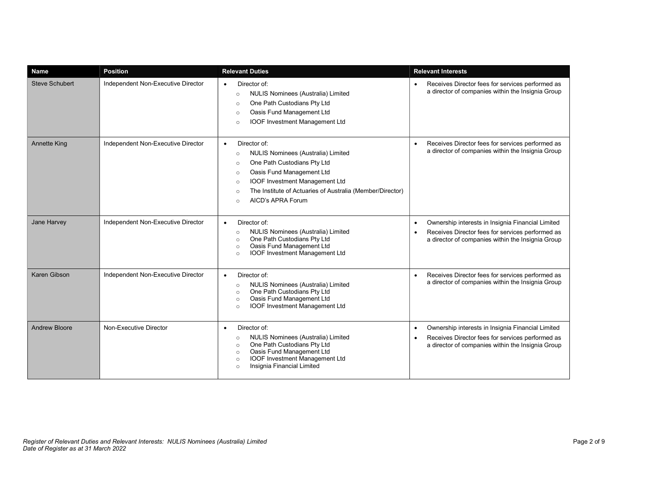| <b>Name</b>           | <b>Position</b>                    | <b>Relevant Duties</b>                                                                                                                                                                                                                                                                                                   | <b>Relevant Interests</b>                                                                                                                                                            |
|-----------------------|------------------------------------|--------------------------------------------------------------------------------------------------------------------------------------------------------------------------------------------------------------------------------------------------------------------------------------------------------------------------|--------------------------------------------------------------------------------------------------------------------------------------------------------------------------------------|
| <b>Steve Schubert</b> | Independent Non-Executive Director | Director of:<br>$\bullet$<br>NULIS Nominees (Australia) Limited<br>$\circ$<br>One Path Custodians Pty Ltd<br>$\circ$<br>Oasis Fund Management Ltd<br>$\circ$<br><b>IOOF Investment Management Ltd</b><br>$\circ$                                                                                                         | Receives Director fees for services performed as<br>$\bullet$<br>a director of companies within the Insignia Group                                                                   |
| <b>Annette King</b>   | Independent Non-Executive Director | Director of:<br>$\bullet$<br>NULIS Nominees (Australia) Limited<br>$\circ$<br>One Path Custodians Pty Ltd<br>$\circ$<br>Oasis Fund Management Ltd<br>$\circ$<br><b>IOOF Investment Management Ltd</b><br>$\circ$<br>The Institute of Actuaries of Australia (Member/Director)<br>$\circ$<br>AICD's APRA Forum<br>$\circ$ | Receives Director fees for services performed as<br>$\bullet$<br>a director of companies within the Insignia Group                                                                   |
| Jane Harvey           | Independent Non-Executive Director | Director of:<br>$\bullet$<br>NULIS Nominees (Australia) Limited<br>$\circ$<br>One Path Custodians Pty Ltd<br>$\circ$<br>Oasis Fund Management Ltd<br>$\circ$<br><b>IOOF Investment Management Ltd</b><br>$\circ$                                                                                                         | Ownership interests in Insignia Financial Limited<br>$\bullet$<br>Receives Director fees for services performed as<br>$\bullet$<br>a director of companies within the Insignia Group |
| Karen Gibson          | Independent Non-Executive Director | Director of:<br>$\bullet$<br>NULIS Nominees (Australia) Limited<br>$\circ$<br>One Path Custodians Pty Ltd<br>$\circ$<br>Oasis Fund Management Ltd<br>$\circ$<br><b>IOOF Investment Management Ltd</b><br>$\circ$                                                                                                         | Receives Director fees for services performed as<br>$\bullet$<br>a director of companies within the Insignia Group                                                                   |
| <b>Andrew Bloore</b>  | Non-Executive Director             | Director of:<br>$\bullet$<br>NULIS Nominees (Australia) Limited<br>$\circ$<br>One Path Custodians Pty Ltd<br>$\circ$<br>Oasis Fund Management Ltd<br>$\circ$<br><b>IOOF Investment Management Ltd</b><br>$\circ$<br>Insignia Financial Limited<br>$\circ$                                                                | Ownership interests in Insignia Financial Limited<br>$\bullet$<br>Receives Director fees for services performed as<br>$\bullet$<br>a director of companies within the Insignia Group |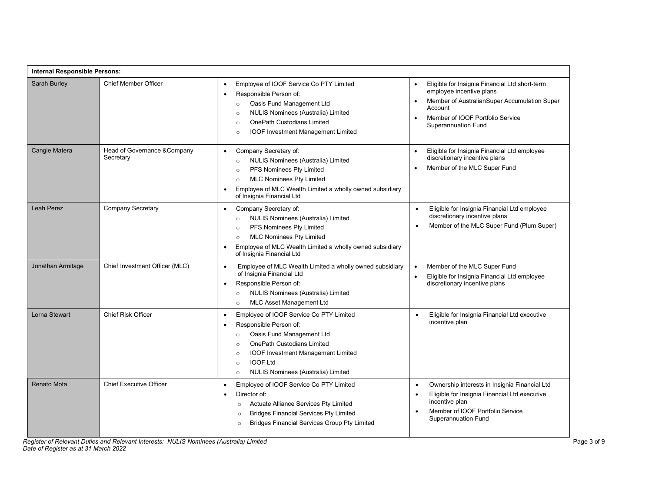| Internal Responsible Persons: |                                           |                                                                                                                                                                                                                                                                                                                             |                                                                                                                                                                                                                                   |  |
|-------------------------------|-------------------------------------------|-----------------------------------------------------------------------------------------------------------------------------------------------------------------------------------------------------------------------------------------------------------------------------------------------------------------------------|-----------------------------------------------------------------------------------------------------------------------------------------------------------------------------------------------------------------------------------|--|
| Sarah Burley                  | <b>Chief Member Officer</b>               | Employee of IOOF Service Co PTY Limited<br>$\bullet$<br>Responsible Person of:<br>$\bullet$<br>Oasis Fund Management Ltd<br>$\circ$<br>NULIS Nominees (Australia) Limited<br>$\circ$<br><b>OnePath Custodians Limited</b><br>$\circ$<br><b>IOOF Investment Management Limited</b><br>$\circ$                                | Eligible for Insignia Financial Ltd short-term<br>$\bullet$<br>employee incentive plans<br>Member of AustralianSuper Accumulation Super<br>Account<br>Member of IOOF Portfolio Service<br>$\bullet$<br><b>Superannuation Fund</b> |  |
| Cangie Matera                 | Head of Governance & Company<br>Secretary | Company Secretary of:<br>$\bullet$<br>NULIS Nominees (Australia) Limited<br>$\circ$<br>PFS Nominees Pty Limited<br>$\circ$<br><b>MLC Nominees Pty Limited</b><br>$\circ$<br>Employee of MLC Wealth Limited a wholly owned subsidiary<br>$\bullet$<br>of Insignia Financial Ltd                                              | Eligible for Insignia Financial Ltd employee<br>$\bullet$<br>discretionary incentive plans<br>Member of the MLC Super Fund                                                                                                        |  |
| Leah Perez                    | <b>Company Secretary</b>                  | Company Secretary of:<br>$\bullet$<br>NULIS Nominees (Australia) Limited<br>$\circ$<br>PFS Nominees Pty Limited<br>$\circ$<br><b>MLC Nominees Pty Limited</b><br>$\circ$<br>Employee of MLC Wealth Limited a wholly owned subsidiary<br>$\bullet$<br>of Insignia Financial Ltd                                              | Eligible for Insignia Financial Ltd employee<br>$\bullet$<br>discretionary incentive plans<br>Member of the MLC Super Fund (Plum Super)<br>$\bullet$                                                                              |  |
| Jonathan Armitage             | Chief Investment Officer (MLC)            | Employee of MLC Wealth Limited a wholly owned subsidiary<br>$\bullet$<br>of Insignia Financial Ltd<br>Responsible Person of:<br>$\bullet$<br>NULIS Nominees (Australia) Limited<br>$\circ$<br><b>MLC Asset Management Ltd</b><br>$\circ$                                                                                    | Member of the MLC Super Fund<br>$\bullet$<br>Eligible for Insignia Financial Ltd employee<br>$\bullet$<br>discretionary incentive plans                                                                                           |  |
| Lorna Stewart                 | <b>Chief Risk Officer</b>                 | Employee of IOOF Service Co PTY Limited<br>$\bullet$<br>Responsible Person of:<br>$\bullet$<br>Oasis Fund Management Ltd<br>$\circ$<br><b>OnePath Custodians Limited</b><br>$\circ$<br><b>IOOF Investment Management Limited</b><br>$\Omega$<br><b>IOOF Ltd</b><br>$\circ$<br>NULIS Nominees (Australia) Limited<br>$\circ$ | Eligible for Insignia Financial Ltd executive<br>$\bullet$<br>incentive plan                                                                                                                                                      |  |
| <b>Renato Mota</b>            | <b>Chief Executive Officer</b>            | Employee of IOOF Service Co PTY Limited<br>$\bullet$<br>Director of:<br>$\bullet$<br>Actuate Alliance Services Pty Limited<br>$\circ$<br><b>Bridges Financial Services Pty Limited</b><br>$\circ$<br><b>Bridges Financial Services Group Pty Limited</b><br>$\circ$                                                         | Ownership interests in Insignia Financial Ltd<br>$\bullet$<br>Eligible for Insignia Financial Ltd executive<br>$\bullet$<br>incentive plan<br>Member of IOOF Portfolio Service<br>$\bullet$<br><b>Superannuation Fund</b>         |  |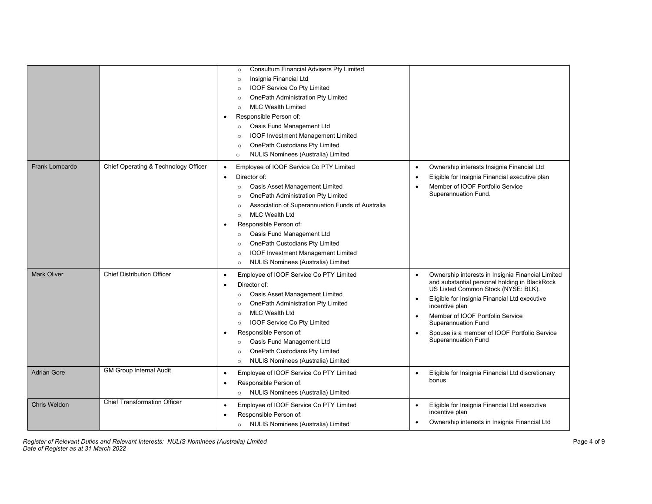|                       |                                      | <b>Consultum Financial Advisers Pty Limited</b><br>$\circ$<br>Insignia Financial Ltd<br>$\circ$<br>IOOF Service Co Pty Limited<br>$\circ$<br>OnePath Administration Pty Limited<br>$\circ$<br><b>MLC Wealth Limited</b><br>$\circ$<br>Responsible Person of:<br>٠<br>Oasis Fund Management Ltd<br>$\circ$<br><b>IOOF Investment Management Limited</b><br>$\circ$<br>OnePath Custodians Pty Limited<br>$\circ$<br>NULIS Nominees (Australia) Limited<br>$\circ$                                                 |                                                                                                                                                                                                                                                                                                                                                                    |
|-----------------------|--------------------------------------|-----------------------------------------------------------------------------------------------------------------------------------------------------------------------------------------------------------------------------------------------------------------------------------------------------------------------------------------------------------------------------------------------------------------------------------------------------------------------------------------------------------------|--------------------------------------------------------------------------------------------------------------------------------------------------------------------------------------------------------------------------------------------------------------------------------------------------------------------------------------------------------------------|
| <b>Frank Lombardo</b> | Chief Operating & Technology Officer | Employee of IOOF Service Co PTY Limited<br>$\bullet$<br>Director of:<br>$\bullet$<br>Oasis Asset Management Limited<br>$\circ$<br>OnePath Administration Pty Limited<br>$\circ$<br>Association of Superannuation Funds of Australia<br>$\circ$<br><b>MLC Wealth Ltd</b><br>$\circ$<br>Responsible Person of:<br>٠<br>Oasis Fund Management Ltd<br>$\circ$<br>OnePath Custodians Pty Limited<br>$\circ$<br><b>IOOF Investment Management Limited</b><br>$\circ$<br>NULIS Nominees (Australia) Limited<br>$\circ$ | Ownership interests Insignia Financial Ltd<br>Eligible for Insignia Financial executive plan<br>Member of IOOF Portfolio Service<br>Superannuation Fund.                                                                                                                                                                                                           |
| <b>Mark Oliver</b>    | <b>Chief Distribution Officer</b>    | Employee of IOOF Service Co PTY Limited<br>$\bullet$<br>Director of:<br>٠<br>Oasis Asset Management Limited<br>$\circ$<br>OnePath Administration Pty Limited<br>$\circ$<br><b>MLC Wealth Ltd</b><br>$\circ$<br>IOOF Service Co Pty Limited<br>$\circ$<br>Responsible Person of:<br>Oasis Fund Management Ltd<br>$\circ$<br>OnePath Custodians Pty Limited<br>$\circ$<br>NULIS Nominees (Australia) Limited<br>$\circ$                                                                                           | Ownership interests in Insignia Financial Limited<br>and substantial personal holding in BlackRock<br>US Listed Common Stock (NYSE: BLK).<br>Eligible for Insignia Financial Ltd executive<br>incentive plan<br>Member of IOOF Portfolio Service<br>$\bullet$<br>Superannuation Fund<br>Spouse is a member of IOOF Portfolio Service<br><b>Superannuation Fund</b> |
| <b>Adrian Gore</b>    | <b>GM Group Internal Audit</b>       | Employee of IOOF Service Co PTY Limited<br>$\bullet$<br>Responsible Person of:<br>٠<br>NULIS Nominees (Australia) Limited<br>$\circ$                                                                                                                                                                                                                                                                                                                                                                            | Eligible for Insignia Financial Ltd discretionary<br>bonus                                                                                                                                                                                                                                                                                                         |
| <b>Chris Weldon</b>   | <b>Chief Transformation Officer</b>  | Employee of IOOF Service Co PTY Limited<br>$\bullet$<br>Responsible Person of:<br><b>NULIS Nominees (Australia) Limited</b><br>$\circ$                                                                                                                                                                                                                                                                                                                                                                          | Eligible for Insignia Financial Ltd executive<br>$\bullet$<br>incentive plan<br>Ownership interests in Insignia Financial Ltd                                                                                                                                                                                                                                      |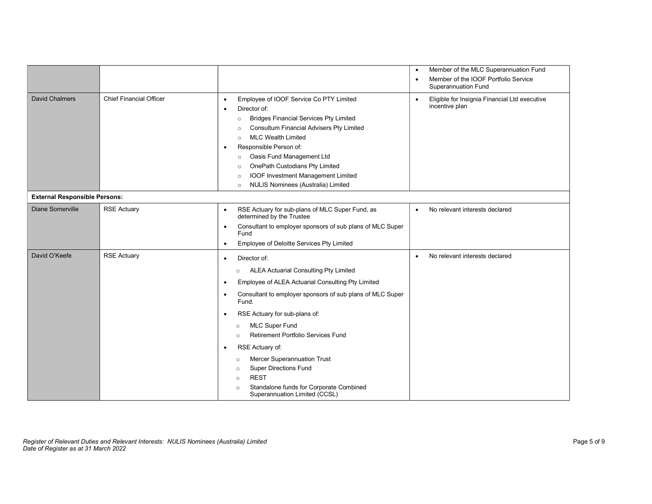|                                      |                                |                                                                                                                                                                                                                                                                                                                                                                                                                                                                                                                                                                                                                           | Member of the MLC Superannuation Fund<br>$\bullet$                              |
|--------------------------------------|--------------------------------|---------------------------------------------------------------------------------------------------------------------------------------------------------------------------------------------------------------------------------------------------------------------------------------------------------------------------------------------------------------------------------------------------------------------------------------------------------------------------------------------------------------------------------------------------------------------------------------------------------------------------|---------------------------------------------------------------------------------|
|                                      |                                |                                                                                                                                                                                                                                                                                                                                                                                                                                                                                                                                                                                                                           | Member of the IOOF Portfolio Service<br>$\bullet$<br><b>Superannuation Fund</b> |
| <b>David Chalmers</b>                | <b>Chief Financial Officer</b> | Employee of IOOF Service Co PTY Limited<br>$\bullet$<br>Director of:<br><b>Bridges Financial Services Pty Limited</b><br>$\circ$<br>Consultum Financial Advisers Pty Limited<br>$\circ$<br><b>MLC Wealth Limited</b><br>$\circ$<br>Responsible Person of:<br>$\bullet$<br>Oasis Fund Management Ltd<br>$\circ$<br>OnePath Custodians Pty Limited<br>$\circ$<br><b>IOOF Investment Management Limited</b><br>$\circ$<br>NULIS Nominees (Australia) Limited<br>$\circ$                                                                                                                                                      | Eligible for Insignia Financial Ltd executive<br>$\bullet$<br>incentive plan    |
| <b>External Responsible Persons:</b> |                                |                                                                                                                                                                                                                                                                                                                                                                                                                                                                                                                                                                                                                           |                                                                                 |
| Diane Somerville                     | <b>RSE Actuary</b>             | RSE Actuary for sub-plans of MLC Super Fund, as<br>$\bullet$<br>determined by the Trustee<br>Consultant to employer sponsors of sub plans of MLC Super<br>$\bullet$<br>Fund<br>Employee of Deloitte Services Pty Limited<br>$\bullet$                                                                                                                                                                                                                                                                                                                                                                                     | No relevant interests declared<br>$\bullet$                                     |
| David O'Keefe                        | <b>RSE Actuary</b>             | Director of:<br>$\bullet$<br><b>ALEA Actuarial Consulting Pty Limited</b><br>$\circ$<br>Employee of ALEA Actuarial Consulting Pty Limited<br>$\bullet$<br>Consultant to employer sponsors of sub plans of MLC Super<br>$\bullet$<br>Fund.<br>RSE Actuary for sub-plans of:<br>$\bullet$<br><b>MLC Super Fund</b><br>$\circ$<br><b>Retirement Portfolio Services Fund</b><br>$\circ$<br>RSE Actuary of:<br>$\bullet$<br>Mercer Superannuation Trust<br>$\circ$<br><b>Super Directions Fund</b><br>$\circ$<br><b>REST</b><br>$\circ$<br>Standalone funds for Corporate Combined<br>$\circ$<br>Superannuation Limited (CCSL) | No relevant interests declared<br>$\bullet$                                     |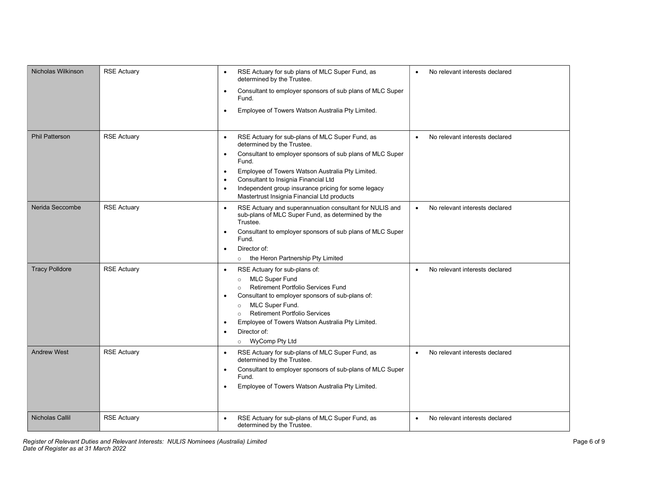| Nicholas Wilkinson    | <b>RSE Actuary</b> | RSE Actuary for sub plans of MLC Super Fund, as<br>$\bullet$<br>determined by the Trustee.<br>Consultant to employer sponsors of sub plans of MLC Super<br>$\bullet$ | No relevant interests declared<br>$\bullet$ |
|-----------------------|--------------------|----------------------------------------------------------------------------------------------------------------------------------------------------------------------|---------------------------------------------|
|                       |                    | Fund.<br>Employee of Towers Watson Australia Pty Limited.<br>$\bullet$                                                                                               |                                             |
|                       |                    |                                                                                                                                                                      |                                             |
| <b>Phil Patterson</b> | <b>RSE Actuary</b> | RSE Actuary for sub-plans of MLC Super Fund, as<br>$\bullet$<br>determined by the Trustee.                                                                           | No relevant interests declared<br>$\bullet$ |
|                       |                    | Consultant to employer sponsors of sub plans of MLC Super<br>$\bullet$<br>Fund.                                                                                      |                                             |
|                       |                    | Employee of Towers Watson Australia Pty Limited.<br>$\bullet$                                                                                                        |                                             |
|                       |                    | Consultant to Insignia Financial Ltd<br>$\bullet$<br>Independent group insurance pricing for some legacy<br>$\bullet$                                                |                                             |
|                       |                    | Mastertrust Insignia Financial Ltd products                                                                                                                          |                                             |
| Nerida Seccombe       | <b>RSE Actuary</b> | RSE Actuary and superannuation consultant for NULIS and<br>$\bullet$<br>sub-plans of MLC Super Fund, as determined by the<br>Trustee.                                | No relevant interests declared              |
|                       |                    | Consultant to employer sponsors of sub plans of MLC Super<br>$\bullet$<br>Fund.                                                                                      |                                             |
|                       |                    | Director of:<br>$\bullet$                                                                                                                                            |                                             |
|                       |                    | the Heron Partnership Pty Limited<br>$\circ$                                                                                                                         |                                             |
| <b>Tracy Polldore</b> | <b>RSE Actuary</b> | RSE Actuary for sub-plans of:<br>$\bullet$                                                                                                                           | No relevant interests declared<br>$\bullet$ |
|                       |                    | <b>MLC Super Fund</b><br>$\circ$<br><b>Retirement Portfolio Services Fund</b><br>$\circ$                                                                             |                                             |
|                       |                    | Consultant to employer sponsors of sub-plans of:<br>$\bullet$                                                                                                        |                                             |
|                       |                    | MLC Super Fund.<br>$\circ$                                                                                                                                           |                                             |
|                       |                    | <b>Retirement Portfolio Services</b><br>$\circ$                                                                                                                      |                                             |
|                       |                    | Employee of Towers Watson Australia Pty Limited.                                                                                                                     |                                             |
|                       |                    | Director of:<br>$\bullet$<br>WyComp Pty Ltd<br>$\circ$                                                                                                               |                                             |
| <b>Andrew West</b>    | <b>RSE Actuary</b> | RSE Actuary for sub-plans of MLC Super Fund, as<br>$\bullet$                                                                                                         | No relevant interests declared<br>$\bullet$ |
|                       |                    | determined by the Trustee.                                                                                                                                           |                                             |
|                       |                    | Consultant to employer sponsors of sub-plans of MLC Super<br>$\bullet$<br>Fund.                                                                                      |                                             |
|                       |                    | Employee of Towers Watson Australia Pty Limited.<br>$\bullet$                                                                                                        |                                             |
|                       |                    |                                                                                                                                                                      |                                             |
| Nicholas Callil       | <b>RSE Actuary</b> | RSE Actuary for sub-plans of MLC Super Fund, as<br>$\bullet$<br>determined by the Trustee.                                                                           | No relevant interests declared<br>$\bullet$ |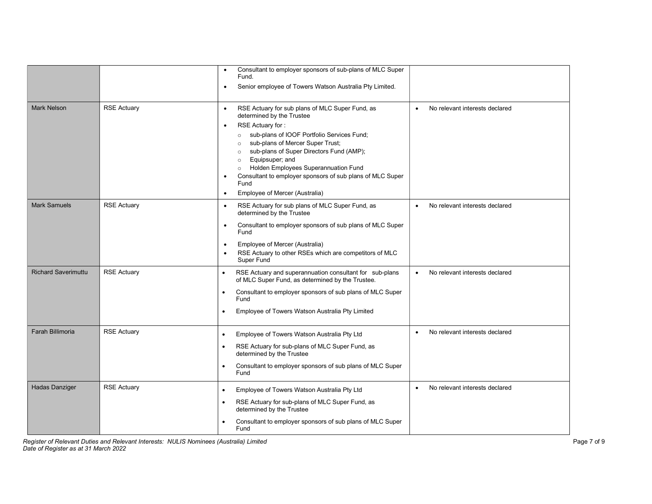|                            |                    | Consultant to employer sponsors of sub-plans of MLC Super<br>$\bullet$<br>Fund.<br>Senior employee of Towers Watson Australia Pty Limited.<br>$\bullet$                                                                                                                                                                                                                                                                                                                                             |                                             |
|----------------------------|--------------------|-----------------------------------------------------------------------------------------------------------------------------------------------------------------------------------------------------------------------------------------------------------------------------------------------------------------------------------------------------------------------------------------------------------------------------------------------------------------------------------------------------|---------------------------------------------|
| <b>Mark Nelson</b>         | <b>RSE Actuary</b> | RSE Actuary for sub plans of MLC Super Fund, as<br>$\bullet$<br>determined by the Trustee<br>RSE Actuary for:<br>$\bullet$<br>sub-plans of IOOF Portfolio Services Fund;<br>$\circ$<br>sub-plans of Mercer Super Trust;<br>$\circ$<br>sub-plans of Super Directors Fund (AMP);<br>$\circ$<br>Equipsuper; and<br>$\circ$<br>Holden Employees Superannuation Fund<br>$\circ$<br>Consultant to employer sponsors of sub plans of MLC Super<br>٠<br>Fund<br>Employee of Mercer (Australia)<br>$\bullet$ | No relevant interests declared              |
| <b>Mark Samuels</b>        | <b>RSE Actuary</b> | RSE Actuary for sub plans of MLC Super Fund, as<br>$\bullet$<br>determined by the Trustee<br>Consultant to employer sponsors of sub plans of MLC Super<br>$\bullet$<br>Fund<br>Employee of Mercer (Australia)<br>$\bullet$<br>RSE Actuary to other RSEs which are competitors of MLC<br>$\bullet$<br>Super Fund                                                                                                                                                                                     | No relevant interests declared<br>$\bullet$ |
| <b>Richard Saverimuttu</b> | <b>RSE Actuary</b> | RSE Actuary and superannuation consultant for sub-plans<br>$\bullet$<br>of MLC Super Fund, as determined by the Trustee.<br>Consultant to employer sponsors of sub plans of MLC Super<br>Fund<br>Employee of Towers Watson Australia Pty Limited                                                                                                                                                                                                                                                    | No relevant interests declared              |
| <b>Farah Billimoria</b>    | <b>RSE Actuary</b> | Employee of Towers Watson Australia Pty Ltd<br>$\bullet$<br>RSE Actuary for sub-plans of MLC Super Fund, as<br>determined by the Trustee<br>Consultant to employer sponsors of sub plans of MLC Super<br>$\bullet$<br>Fund                                                                                                                                                                                                                                                                          | No relevant interests declared              |
| <b>Hadas Danziger</b>      | <b>RSE Actuary</b> | Employee of Towers Watson Australia Pty Ltd<br>$\bullet$<br>RSE Actuary for sub-plans of MLC Super Fund, as<br>$\bullet$<br>determined by the Trustee<br>Consultant to employer sponsors of sub plans of MLC Super<br>Fund                                                                                                                                                                                                                                                                          | No relevant interests declared<br>$\bullet$ |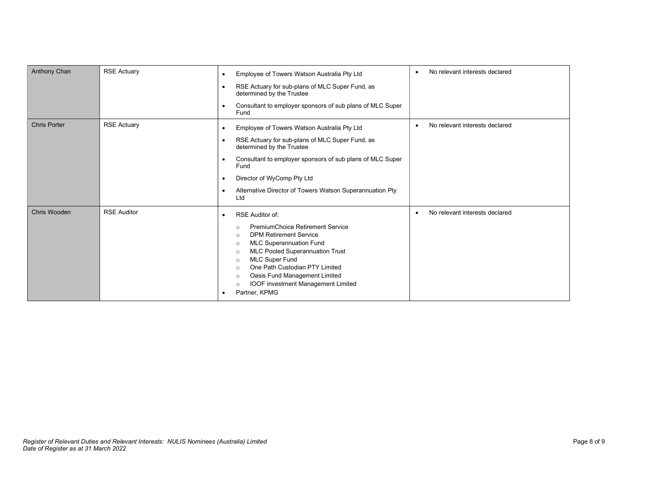| Anthony Chan        | <b>RSE Actuary</b> | Employee of Towers Watson Australia Pty Ltd<br>$\bullet$<br>RSE Actuary for sub-plans of MLC Super Fund, as<br>determined by the Trustee<br>Consultant to employer sponsors of sub plans of MLC Super<br>٠<br>Fund                                                                                                                                                                                                               | No relevant interests declared |
|---------------------|--------------------|----------------------------------------------------------------------------------------------------------------------------------------------------------------------------------------------------------------------------------------------------------------------------------------------------------------------------------------------------------------------------------------------------------------------------------|--------------------------------|
| <b>Chris Porter</b> | <b>RSE Actuary</b> | Employee of Towers Watson Australia Pty Ltd<br>٠<br>RSE Actuary for sub-plans of MLC Super Fund, as<br>determined by the Trustee<br>Consultant to employer sponsors of sub plans of MLC Super<br>Fund<br>Director of WyComp Pty Ltd<br>Alternative Director of Towers Watson Superannuation Pty<br>Ltd                                                                                                                           | No relevant interests declared |
| Chris Wooden        | <b>RSE Auditor</b> | <b>RSE Auditor of:</b><br><b>PremiumChoice Retirement Service</b><br>$\circ$<br><b>DPM Retirement Service</b><br>$\circ$<br><b>MLC Superannuation Fund</b><br>$\circ$<br><b>MLC Pooled Superannuation Trust</b><br>$\circ$<br><b>MLC Super Fund</b><br>$\circ$<br>One Path Custodian PTY Limited<br>$\circ$<br>Oasis Fund Management Limited<br>$\circ$<br><b>IOOF investment Management Limited</b><br>$\circ$<br>Partner, KPMG | No relevant interests declared |